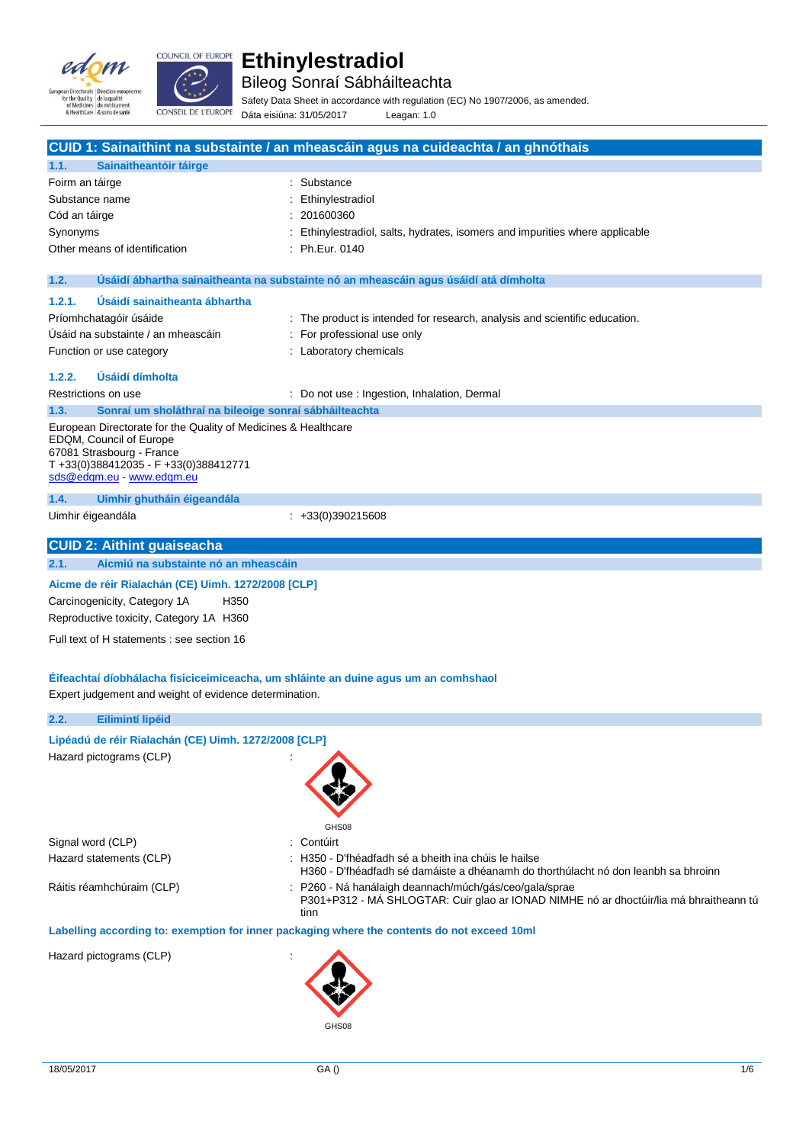



Bileog Sonraí Sábháilteachta

Safety Data Sheet in accordance with regulation (EC) No 1907/2006, as amended. Dáta eisiúna: 31/05/2017 Leagan: 1.0

|                   |                                                                                                                                                                                          | CUID 1: Sainaithint na substainte / an mheascáin agus na cuideachta / an ghnóthais                                                                                                                                                           |
|-------------------|------------------------------------------------------------------------------------------------------------------------------------------------------------------------------------------|----------------------------------------------------------------------------------------------------------------------------------------------------------------------------------------------------------------------------------------------|
| 1.1.              | Sainaitheantóir táirge                                                                                                                                                                   |                                                                                                                                                                                                                                              |
| Foirm an táirge   |                                                                                                                                                                                          | Substance                                                                                                                                                                                                                                    |
| Substance name    |                                                                                                                                                                                          | Ethinylestradiol                                                                                                                                                                                                                             |
| Cód an táirge     |                                                                                                                                                                                          | 201600360                                                                                                                                                                                                                                    |
| Synonyms          |                                                                                                                                                                                          | Ethinylestradiol, salts, hydrates, isomers and impurities where applicable                                                                                                                                                                   |
|                   | Other means of identification                                                                                                                                                            | : Ph.Eur. 0140                                                                                                                                                                                                                               |
| 1.2.              |                                                                                                                                                                                          | Usáidí ábhartha sainaitheanta na substainte nó an mheascáin agus úsáidí atá dímholta                                                                                                                                                         |
|                   |                                                                                                                                                                                          |                                                                                                                                                                                                                                              |
| 1.2.1.            | Usáidí sainaitheanta ábhartha                                                                                                                                                            |                                                                                                                                                                                                                                              |
|                   | Príomhchatagóir úsáide<br>Usáid na substainte / an mheascáin                                                                                                                             | : The product is intended for research, analysis and scientific education.                                                                                                                                                                   |
|                   |                                                                                                                                                                                          | For professional use only                                                                                                                                                                                                                    |
|                   | Function or use category                                                                                                                                                                 | : Laboratory chemicals                                                                                                                                                                                                                       |
| 1.2.2.            | Usáidí dímholta                                                                                                                                                                          |                                                                                                                                                                                                                                              |
|                   | Restrictions on use                                                                                                                                                                      | : Do not use : Ingestion, Inhalation, Dermal                                                                                                                                                                                                 |
| 1.3.              | Sonraí um sholáthraí na bileoige sonraí sábháilteachta                                                                                                                                   |                                                                                                                                                                                                                                              |
|                   | European Directorate for the Quality of Medicines & Healthcare<br>EDQM, Council of Europe<br>67081 Strasbourg - France<br>T+33(0)388412035 - F+33(0)388412771<br>sds@edqm.eu www.edqm.eu |                                                                                                                                                                                                                                              |
| 1.4.              | Uimhir ghutháin éigeandála                                                                                                                                                               |                                                                                                                                                                                                                                              |
| Uimhir éigeandála |                                                                                                                                                                                          | $\div$ +33(0)390215608                                                                                                                                                                                                                       |
|                   | <b>CUID 2: Aithint guaiseacha</b>                                                                                                                                                        |                                                                                                                                                                                                                                              |
| 2.1.              | Aicmiú na substainte nó an mheascáin                                                                                                                                                     |                                                                                                                                                                                                                                              |
|                   | Aicme de réir Rialachán (CE) Uimh. 1272/2008 [CLP]<br>Carcinogenicity, Category 1A<br>H350<br>Reproductive toxicity, Category 1A H360                                                    |                                                                                                                                                                                                                                              |
|                   | Full text of H statements : see section 16                                                                                                                                               |                                                                                                                                                                                                                                              |
|                   | Expert judgement and weight of evidence determination.                                                                                                                                   | Éifeachtaí díobhálacha fisiciceimiceacha, um shláinte an duine agus um an comhshaol                                                                                                                                                          |
| 2.2.              | Eilimintí lipéid                                                                                                                                                                         |                                                                                                                                                                                                                                              |
|                   | Lipéadú de réir Rialachán (CE) Uimh. 1272/2008 [CLP]<br>Hazard pictograms (CLP)                                                                                                          | GHS08                                                                                                                                                                                                                                        |
| Signal word (CLP) |                                                                                                                                                                                          | Contúirt                                                                                                                                                                                                                                     |
|                   | Hazard statements (CLP)                                                                                                                                                                  | : H350 - D'fhéadfadh sé a bheith ina chúis le hailse                                                                                                                                                                                         |
|                   | Ráitis réamhchúraim (CLP)                                                                                                                                                                | H360 - D'fhéadfadh sé damáiste a dhéanamh do thorthúlacht nó don leanbh sa bhroinn<br>P260 - Ná hanálaigh deannach/múch/gás/ceo/gala/sprae<br>P301+P312 - MÁ SHLOGTAR: Cuir glao ar IONAD NIMHE nó ar dhoctúir/lia má bhraitheann tú<br>tinn |
|                   |                                                                                                                                                                                          | Labelling according to: exemption for inner packaging where the contents do not exceed 10ml                                                                                                                                                  |
|                   | Hazard pictograms (CLP)                                                                                                                                                                  | GHS08                                                                                                                                                                                                                                        |
|                   |                                                                                                                                                                                          |                                                                                                                                                                                                                                              |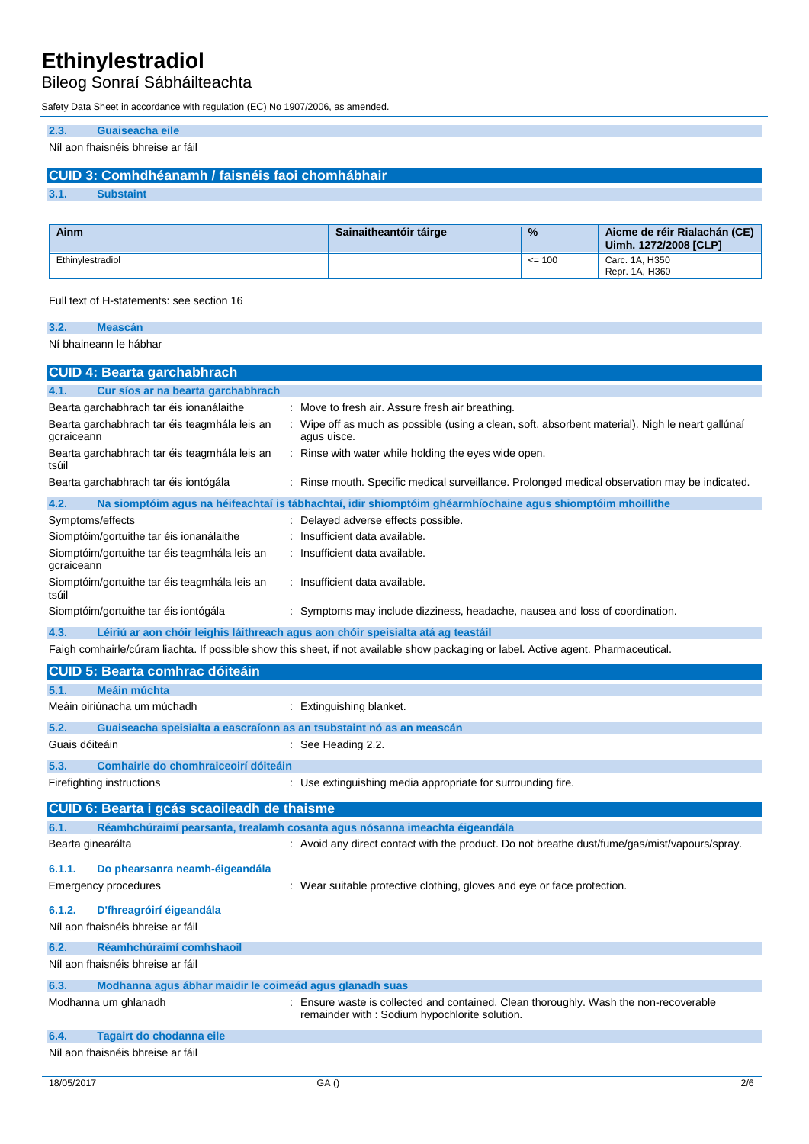Bileog Sonraí Sábháilteachta

Safety Data Sheet in accordance with regulation (EC) No 1907/2006, as amended.

## **2.3. Guaiseacha eile**

## Níl aon fhaisnéis bhreise ar fáil

## **CUID 3: Comhdhéanamh / faisnéis faoi chomhábhair**

**3.1. Substaint**

| Ainm             | Sainaitheantóir táirge | $\frac{9}{6}$ | Aicme de réir Rialachán (CE)<br>Uimh. 1272/2008 [CLP] |
|------------------|------------------------|---------------|-------------------------------------------------------|
| Ethinvlestradiol |                        | $\leq$ 100    | Carc. 1A. H350<br>Repr. 1A. H360                      |

Full text of H-statements: see section 16

| 3.2. | <b>Meascán</b>              |
|------|-----------------------------|
|      | Ní bhaineann le hábhar      |
|      |                             |
|      | CUID 4: Bearta garchabhrach |

| 4.1.                        | Cur síos ar na bearta garchabhrach                                   |                                                                                                                                        |
|-----------------------------|----------------------------------------------------------------------|----------------------------------------------------------------------------------------------------------------------------------------|
|                             | Bearta garchabhrach tar éis ionanálaithe                             | Move to fresh air. Assure fresh air breathing.                                                                                         |
| gcraiceann                  | Bearta garchabhrach tar éis teagmhála leis an                        | Wipe off as much as possible (using a clean, soft, absorbent material). Nigh le neart gallúnaí<br>agus uisce.                          |
| tsúil                       | Bearta garchabhrach tar éis teagmhála leis an                        | Rinse with water while holding the eyes wide open.                                                                                     |
|                             | Bearta garchabhrach tar éis iontógála                                | : Rinse mouth. Specific medical surveillance. Prolonged medical observation may be indicated.                                          |
| 4.2.                        |                                                                      | Na siomptóim agus na héifeachtaí is tábhachtaí, idir shiomptóim ghéarmhíochaine agus shiomptóim mhoillithe                             |
| Symptoms/effects            |                                                                      | Delayed adverse effects possible.                                                                                                      |
|                             | Siomptóim/gortuithe tar éis ionanálaithe                             | Insufficient data available.                                                                                                           |
| gcraiceann                  | Siomptóim/gortuithe tar éis teagmhála leis an                        | Insufficient data available.                                                                                                           |
| tsúil                       | Siomptóim/gortuithe tar éis teagmhála leis an                        | : Insufficient data available.                                                                                                         |
|                             | Siomptóim/gortuithe tar éis iontógála                                | : Symptoms may include dizziness, headache, nausea and loss of coordination.                                                           |
| 4.3.                        |                                                                      | Léiriú ar aon chóir leighis láithreach agus aon chóir speisialta atá ag teastáil                                                       |
|                             |                                                                      | Faigh comhairle/cúram liachta. If possible show this sheet, if not available show packaging or label. Active agent. Pharmaceutical.    |
|                             | <b>CUID 5: Bearta comhrac dóiteáin</b>                               |                                                                                                                                        |
| 5.1.                        | Meáin múchta                                                         |                                                                                                                                        |
|                             | Meáin oiriúnacha um múchadh                                          | : Extinguishing blanket.                                                                                                               |
| 5.2.                        | Guaiseacha speisialta a eascraíonn as an tsubstaint nó as an meascán |                                                                                                                                        |
| Guais dóiteáin              |                                                                      | : See Heading 2.2.                                                                                                                     |
| 5.3.                        | Comhairle do chomhraiceoirí dóiteáin                                 |                                                                                                                                        |
| Firefighting instructions   |                                                                      | Use extinguishing media appropriate for surrounding fire.                                                                              |
|                             | CUID 6: Bearta i gcás scaoileadh de thaisme                          |                                                                                                                                        |
| 6.1.                        |                                                                      | Réamhchúraimí pearsanta, trealamh cosanta agus nósanna imeachta éigeandála                                                             |
| Bearta ginearálta           |                                                                      | : Avoid any direct contact with the product. Do not breathe dust/fume/gas/mist/vapours/spray.                                          |
| 6.1.1.                      | Do phearsanra neamh-éigeandála                                       |                                                                                                                                        |
| <b>Emergency procedures</b> |                                                                      | Wear suitable protective clothing, gloves and eye or face protection.                                                                  |
| 6.1.2.                      | D'fhreagróirí éigeandála                                             |                                                                                                                                        |
|                             | Níl aon fhaisnéis bhreise ar fáil                                    |                                                                                                                                        |
| 6.2.                        | Réamhchúraimí comhshaoil                                             |                                                                                                                                        |
|                             | Níl aon fhaisnéis bhreise ar fáil                                    |                                                                                                                                        |
| 6.3.                        | Modhanna agus ábhar maidir le coimeád agus glanadh suas              |                                                                                                                                        |
| Modhanna um ghlanadh        |                                                                      | : Ensure waste is collected and contained. Clean thoroughly. Wash the non-recoverable<br>remainder with: Sodium hypochlorite solution. |
| 6.4.                        | Tagairt do chodanna eile                                             |                                                                                                                                        |
|                             | Níl aon fhaisnéis bhreise ar fáil                                    |                                                                                                                                        |
|                             |                                                                      |                                                                                                                                        |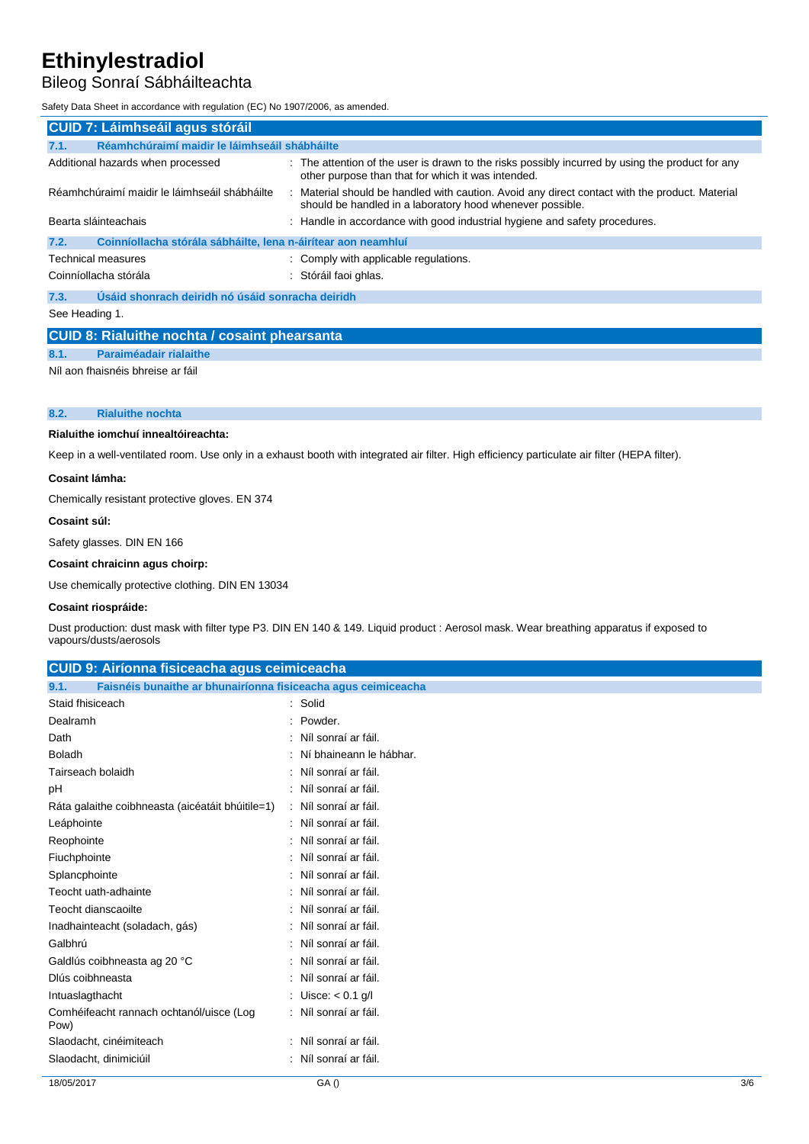## Bileog Sonraí Sábháilteachta

Safety Data Sheet in accordance with regulation (EC) No 1907/2006, as amended.

| <b>CUID 7: Láimhseáil agus stóráil</b>                                |                                                                                                                                                           |  |  |
|-----------------------------------------------------------------------|-----------------------------------------------------------------------------------------------------------------------------------------------------------|--|--|
| Réamhchúraimí maidir le láimhseáil shábháilte<br>7.1.                 |                                                                                                                                                           |  |  |
| Additional hazards when processed                                     | : The attention of the user is drawn to the risks possibly incurred by using the product for any<br>other purpose than that for which it was intended.    |  |  |
| Réamhchúraimí maidir le láimhseáil shábháilte                         | Material should be handled with caution. Avoid any direct contact with the product. Material<br>should be handled in a laboratory hood whenever possible. |  |  |
| Bearta sláinteachais                                                  | : Handle in accordance with good industrial hygiene and safety procedures.                                                                                |  |  |
| Coinníollacha stórála sábháilte, lena n-áirítear aon neamhluí<br>7.2. |                                                                                                                                                           |  |  |
| <b>Technical measures</b>                                             | : Comply with applicable regulations.                                                                                                                     |  |  |
| Coinníollacha stórála                                                 | : Stóráil faoi ghlas.                                                                                                                                     |  |  |
| Úsáid shonrach deiridh nó úsáid sonracha deiridh<br>7.3.              |                                                                                                                                                           |  |  |
| See Heading 1.                                                        |                                                                                                                                                           |  |  |
| <b>OUD 0. District Lease Lie Lease the international contract</b>     |                                                                                                                                                           |  |  |

## **CUID 8: Rialuithe nochta / cosaint phearsanta 8.1. Paraiméadair rialaithe**

Níl aon fhaisnéis bhreise ar fáil

### **8.2. Rialuithe nochta**

#### **Rialuithe iomchuí innealtóireachta:**

Keep in a well-ventilated room. Use only in a exhaust booth with integrated air filter. High efficiency particulate air filter (HEPA filter).

#### **Cosaint lámha:**

Chemically resistant protective gloves. EN 374

#### **Cosaint súl:**

Safety glasses. DIN EN 166

## **Cosaint chraicinn agus choirp:**

Use chemically protective clothing. DIN EN 13034

#### **Cosaint riospráide:**

Dust production: dust mask with filter type P3. DIN EN 140 & 149. Liquid product : Aerosol mask. Wear breathing apparatus if exposed to vapours/dusts/aerosols

| <b>CUID 9: Airíonna fisiceacha agus ceimiceacha</b>                   |                         |  |  |
|-----------------------------------------------------------------------|-------------------------|--|--|
| Faisnéis bunaithe ar bhunairíonna fisiceacha agus ceimiceacha<br>9.1. |                         |  |  |
| Staid fhisiceach                                                      | : Solid                 |  |  |
| Dealramh                                                              | Powder.                 |  |  |
| Dath                                                                  | : Níl sonraí ar fáil.   |  |  |
| <b>Boladh</b>                                                         | Ní bhaineann le hábhar. |  |  |
| Tairseach bolaidh                                                     | Níl sonraí ar fáil.     |  |  |
| рH                                                                    | : Níl sonraí ar fáil.   |  |  |
| Ráta galaithe coibhneasta (aicéatáit bhúitile=1)                      | : Níl sonraí ar fáil.   |  |  |
| Leáphointe                                                            | : Níl sonraí ar fáil.   |  |  |
| Reophointe                                                            | : Níl sonraí ar fáil.   |  |  |
| Fiuchphointe                                                          | : Níl sonraí ar fáil.   |  |  |
| Splancphointe                                                         | : Níl sonraí ar fáil.   |  |  |
| Teocht uath-adhainte                                                  | : Níl sonraí ar fáil.   |  |  |
| Teocht dianscaoilte                                                   | : Níl sonraí ar fáil.   |  |  |
| Inadhainteacht (soladach, gás)                                        | : Níl sonraí ar fáil.   |  |  |
| Galbhrú                                                               | Níl sonraí ar fáil.     |  |  |
| Galdlús coibhneasta ag 20 °C                                          | Níl sonraí ar fáil.     |  |  |
| Dlús coibhneasta                                                      | Níl sonraí ar fáil.     |  |  |
| Intuaslagthacht                                                       | : Uisce: $< 0.1$ g/l    |  |  |
| Comhéifeacht rannach ochtanól/uisce (Log<br>Pow)                      | : Níl sonraí ar fáil.   |  |  |
| Slaodacht, cinéimiteach                                               | : Níl sonraí ar fáil.   |  |  |
| Slaodacht, dinimiciúil                                                | Níl sonraí ar fáil.     |  |  |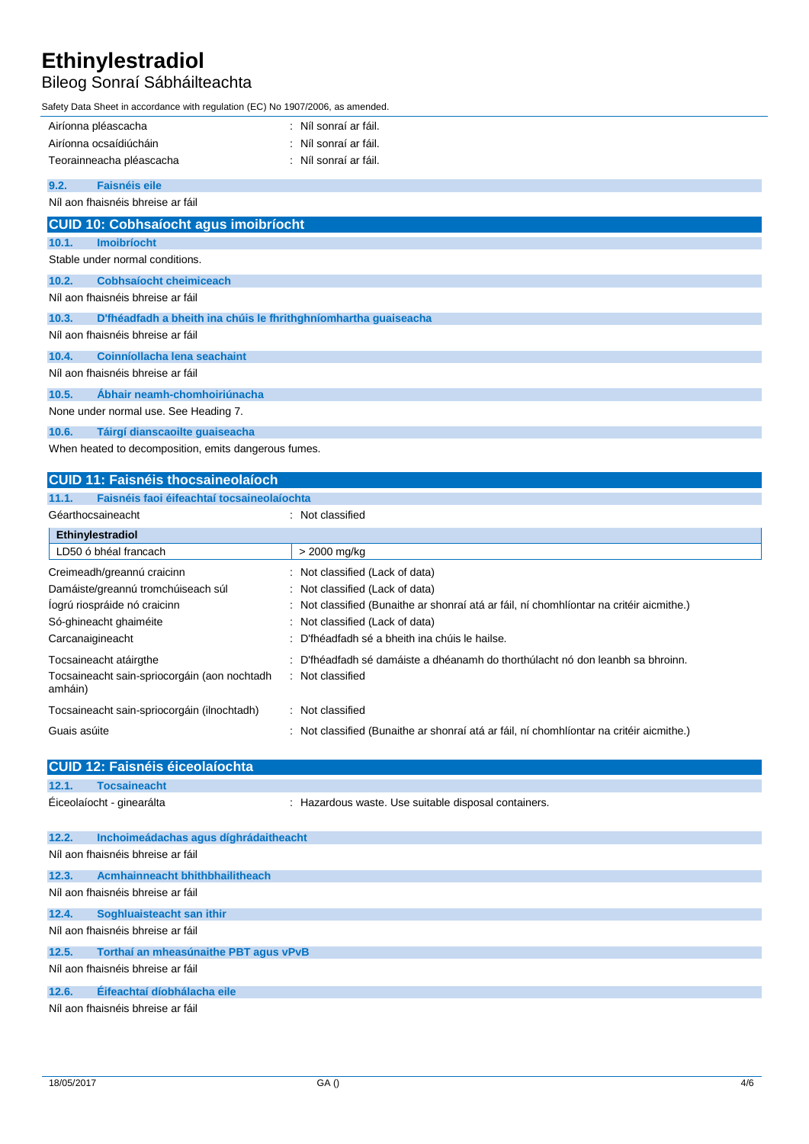## Bileog Sonraí Sábháilteachta

Safety Data Sheet in accordance with regulation (EC) No 1907/2006, as amended.

|       | $3000, 2000$ and $3000$ and $300$ and $300$ and $300$ and $300$ and $300$ and $300$ and $300$ and $300$ |                       |  |  |
|-------|---------------------------------------------------------------------------------------------------------|-----------------------|--|--|
|       | Airíonna pléascacha                                                                                     | : Níl sonraí ar fáil. |  |  |
|       | Airíonna ocsaídiúcháin                                                                                  | : Níl sonraí ar fáil. |  |  |
|       | Teorainneacha pléascacha                                                                                | : Níl sonraí ar fáil. |  |  |
| 9.2.  | <b>Faisnéis eile</b>                                                                                    |                       |  |  |
|       | Níl aon fhaisnéis bhreise ar fáil                                                                       |                       |  |  |
|       | <b>CUID 10: Cobhsaíocht agus imoibríocht</b>                                                            |                       |  |  |
| 10.1. | <b>Imoibríocht</b>                                                                                      |                       |  |  |
|       | Stable under normal conditions.                                                                         |                       |  |  |
| 10.2. | <b>Cobhsaíocht cheimiceach</b>                                                                          |                       |  |  |
|       | Níl aon fhaisnéis bhreise ar fáil                                                                       |                       |  |  |
| 10.3. | D'fhéadfadh a bheith ina chúis le fhrithghníomhartha guaiseacha                                         |                       |  |  |
|       | Níl aon fhaisnéis bhreise ar fáil                                                                       |                       |  |  |
| 10.4. | Coinníollacha lena seachaint                                                                            |                       |  |  |
|       | Níl aon fhaisnéis bhreise ar fáil                                                                       |                       |  |  |
| 10.5. | Ábhair neamh-chomhoiriúnacha                                                                            |                       |  |  |
|       | None under normal use. See Heading 7.                                                                   |                       |  |  |
| 10.6. | Táirgí dianscaoilte guaiseacha                                                                          |                       |  |  |
|       | When heated to decomposition, emits dangerous fumes.                                                    |                       |  |  |
|       | <b>CUID 11: Faisnéis thocsaineolaíoch</b>                                                               |                       |  |  |
| 11.1. | Faisnéis faoi éifeachtaí tocsaineolaíochta                                                              |                       |  |  |

| Géarthocsaineacht                                       | Not classified                                                                            |  |
|---------------------------------------------------------|-------------------------------------------------------------------------------------------|--|
| Ethinylestradiol                                        |                                                                                           |  |
| LD50 ó bhéal francach                                   | > 2000 mg/kg                                                                              |  |
| Creimeadh/greannú craicinn                              | : Not classified (Lack of data)                                                           |  |
| Damáiste/greannú tromchúiseach súl                      | : Not classified (Lack of data)                                                           |  |
| logrú riospráide nó craicinn                            | : Not classified (Bunaithe ar shonraí atá ar fáil, ní chomhlíontar na critéir aicmithe.)  |  |
| Só-ghineacht ghaiméite                                  | : Not classified (Lack of data)                                                           |  |
| Carcanaigineacht                                        | D'fhéadfadh sé a bheith ina chúis le hailse.                                              |  |
| Tocsaineacht atáirgthe                                  | D'fhéadfadh sé damáiste a dhéanamh do thorthúlacht nó don leanbh sa bhroinn.<br>$\bullet$ |  |
| Tocsaineacht sain-spriocorgáin (aon nochtadh<br>amháin) | Not classified<br>÷                                                                       |  |
| Tocsaineacht sain-spriocorgáin (ilnochtadh)             | : Not classified                                                                          |  |
| Guais asúite                                            | : Not classified (Bunaithe ar shonraí atá ar fáil, ní chomhlíontar na critéir aicmithe.)  |  |

|                                   | <b>CUID 12: Faisnéis éiceolaíochta</b> |                                                      |  |  |
|-----------------------------------|----------------------------------------|------------------------------------------------------|--|--|
| 12.1.                             | <b>Tocsaineacht</b>                    |                                                      |  |  |
|                                   | Éiceolaíocht - ginearálta              | : Hazardous waste. Use suitable disposal containers. |  |  |
| 12.2.                             | Inchoimeádachas agus díghrádaitheacht  |                                                      |  |  |
|                                   | Níl aon fhaisnéis bhreise ar fáil      |                                                      |  |  |
| 12.3.                             | Acmhainneacht bhithbhailitheach        |                                                      |  |  |
| Níl aon fhaisnéis bhreise ar fáil |                                        |                                                      |  |  |
| 12.4.                             | Soghluaisteacht san ithir              |                                                      |  |  |
| Níl aon fhaisnéis bhreise ar fáil |                                        |                                                      |  |  |
| 12.5.                             | Torthaí an mheasúnaithe PBT agus vPvB  |                                                      |  |  |
|                                   | Níl aon fhaisnéis bhreise ar fáil      |                                                      |  |  |
| 12.6.                             | Éifeachtaí díobhálacha eile            |                                                      |  |  |
|                                   |                                        | Níl aon fhaisnéis bhreise ar fáil                    |  |  |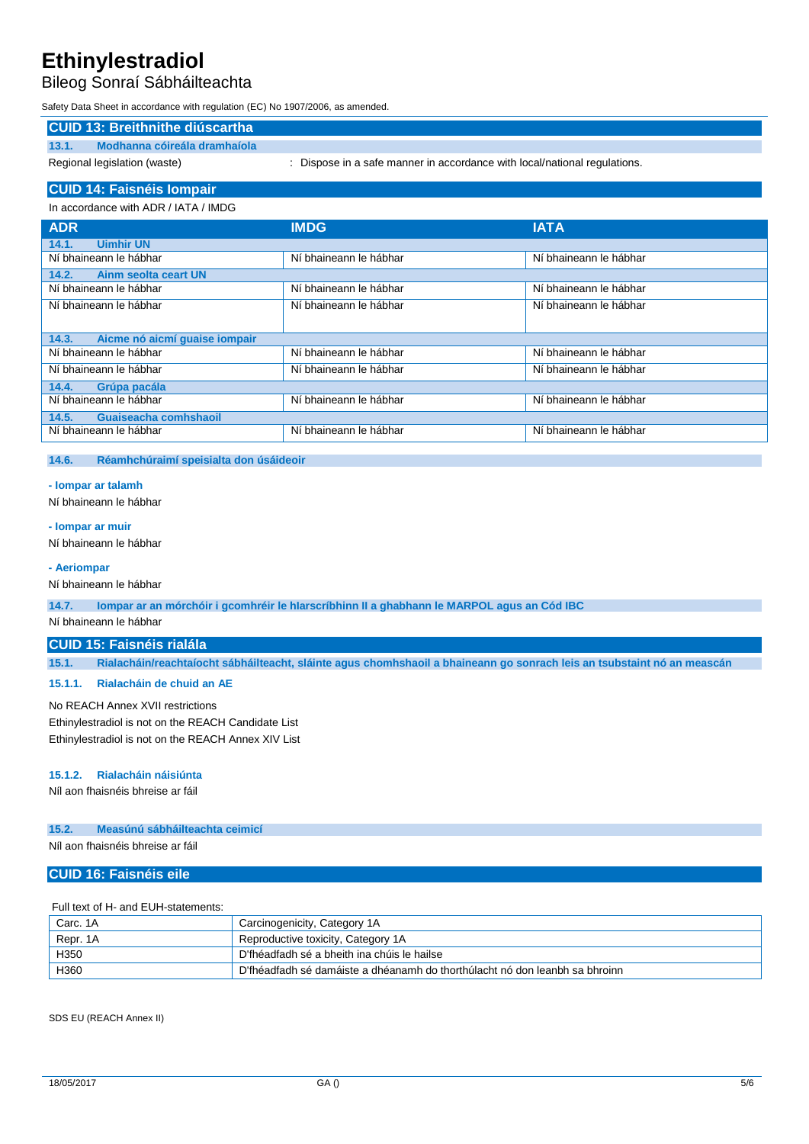## Bileog Sonraí Sábháilteachta

Safety Data Sheet in accordance with regulation (EC) No 1907/2006, as amended.

## **CUID 13: Breithnithe diúscartha**

**13.1. Modhanna cóireála dramhaíola**

Regional legislation (waste) : Dispose in a safe manner in accordance with local/national regulations.

## **CUID 14: Faisnéis Iompair**

| In accordance with ADR / IATA / IMDG   |                        |                        |  |
|----------------------------------------|------------------------|------------------------|--|
| <b>ADR</b>                             | <b>IMDG</b>            | <b>IATA</b>            |  |
| 14.1.<br><b>Uimhir UN</b>              |                        |                        |  |
| Ní bhaineann le hábhar                 | Ní bhaineann le hábhar | Ní bhaineann le hábhar |  |
| Ainm seolta ceart UN<br>14.2.          |                        |                        |  |
| Ní bhaineann le hábhar                 | Ní bhaineann le hábhar | Ní bhaineann le hábhar |  |
| Ní bhaineann le hábhar                 | Ní bhaineann le hábhar | Ní bhaineann le hábhar |  |
|                                        |                        |                        |  |
| 14.3.<br>Aicme nó aicmí quaise iompair |                        |                        |  |
| Ní bhaineann le hábhar                 | Ní bhaineann le hábhar | Ní bhaineann le hábhar |  |
| Ní bhaineann le hábhar                 | Ní bhaineann le hábhar | Ní bhaineann le hábhar |  |
| 14.4.<br>Grúpa pacála                  |                        |                        |  |
| Ní bhaineann le hábhar                 | Ní bhaineann le hábhar | Ní bhaineann le hábhar |  |
| Guaiseacha comhshaoil<br>14.5.         |                        |                        |  |
| Ní bhaineann le hábhar                 | Ní bhaineann le hábhar | Ní bhaineann le hábhar |  |
|                                        |                        |                        |  |

### **14.6. Réamhchúraimí speisialta don úsáideoir**

## **- Iompar ar talamh**

Ní bhaineann le hábhar

## Ní bhaineann le hábhar

**- Iompar ar muir**

#### **- Aeriompar**

Ní bhaineann le hábhar

**14.7. Iompar ar an mórchóir i gcomhréir le hIarscríbhinn II a ghabhann le MARPOL agus an Cód IBC**

## Ní bhaineann le hábhar

#### **CUID 15: Faisnéis rialála**

**15.1. Rialacháin/reachtaíocht sábháilteacht, sláinte agus chomhshaoil a bhaineann go sonrach leis an tsubstaint nó an meascán**

#### **15.1.1. Rialacháin de chuid an AE**

No REACH Annex XVII restrictions Ethinylestradiol is not on the REACH Candidate List Ethinylestradiol is not on the REACH Annex XIV List

## **15.1.2. Rialacháin náisiúnta**

Níl aon fhaisnéis bhreise ar fáil

## **15.2. Measúnú sábháilteachta ceimicí**

Níl aon fhaisnéis bhreise ar fáil

## **CUID 16: Faisnéis eile**

### Full text of H- and EUH-statements:

| Carc. 1A | Carcinogenicity, Category 1A                                                |
|----------|-----------------------------------------------------------------------------|
| Repr. 1A | Reproductive toxicity, Category 1A                                          |
| H350     | D'fhéadfadh sé a bheith ina chúis le hailse                                 |
| H360     | D'fhéadfadh sé damáiste a dhéanamh do thorthúlacht nó don leanbh sa bhroinn |

SDS EU (REACH Annex II)